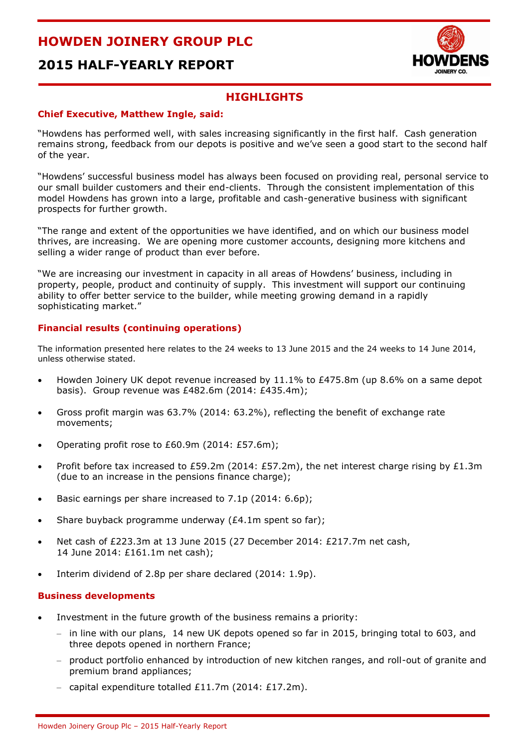



### **HIGHLIGHTS**

#### **Chief Executive, Matthew Ingle, said:**

"Howdens has performed well, with sales increasing significantly in the first half. Cash generation remains strong, feedback from our depots is positive and we've seen a good start to the second half of the year.

"Howdens' successful business model has always been focused on providing real, personal service to our small builder customers and their end-clients. Through the consistent implementation of this model Howdens has grown into a large, profitable and cash-generative business with significant prospects for further growth.

"The range and extent of the opportunities we have identified, and on which our business model thrives, are increasing. We are opening more customer accounts, designing more kitchens and selling a wider range of product than ever before.

"We are increasing our investment in capacity in all areas of Howdens' business, including in property, people, product and continuity of supply. This investment will support our continuing ability to offer better service to the builder, while meeting growing demand in a rapidly sophisticating market."

#### **Financial results (continuing operations)**

The information presented here relates to the 24 weeks to 13 June 2015 and the 24 weeks to 14 June 2014, unless otherwise stated.

- Howden Joinery UK depot revenue increased by 11.1% to £475.8m (up 8.6% on a same depot basis). Group revenue was £482.6m (2014: £435.4m);
- Gross profit margin was 63.7% (2014: 63.2%), reflecting the benefit of exchange rate movements;
- Operating profit rose to £60.9m (2014: £57.6m);
- Profit before tax increased to £59.2m (2014: £57.2m), the net interest charge rising by £1.3m (due to an increase in the pensions finance charge);
- Basic earnings per share increased to 7.1p (2014: 6.6p);
- Share buyback programme underway (£4.1m spent so far);
- Net cash of £223.3m at 13 June 2015 (27 December 2014: £217.7m net cash, 14 June 2014: £161.1m net cash);
- Interim dividend of 2.8p per share declared (2014: 1.9p).

#### **Business developments**

- Investment in the future growth of the business remains a priority:
	- in line with our plans, 14 new UK depots opened so far in 2015, bringing total to 603, and three depots opened in northern France;
	- product portfolio enhanced by introduction of new kitchen ranges, and roll-out of granite and premium brand appliances;
	- capital expenditure totalled £11.7m (2014: £17.2m).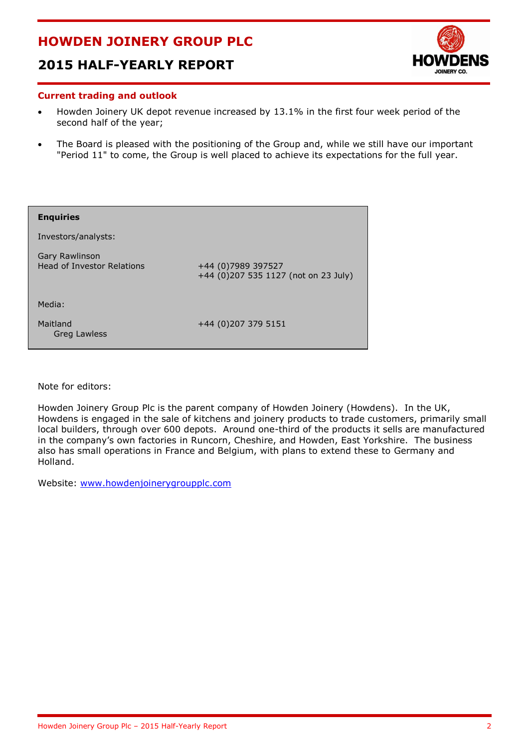# **2015 HALF-YEARLY REPORT**



#### **Current trading and outlook**

- Howden Joinery UK depot revenue increased by 13.1% in the first four week period of the second half of the year;
- The Board is pleased with the positioning of the Group and, while we still have our important "Period 11" to come, the Group is well placed to achieve its expectations for the full year.

| <b>Enquiries</b>                                           |                                                            |
|------------------------------------------------------------|------------------------------------------------------------|
| Investors/analysts:                                        |                                                            |
| <b>Gary Rawlinson</b><br><b>Head of Investor Relations</b> | +44 (0)7989 397527<br>+44 (0)207 535 1127 (not on 23 July) |
| Media:                                                     |                                                            |
| Maitland<br><b>Greg Lawless</b>                            | +44 (0)207 379 5151                                        |

Note for editors:

Howden Joinery Group Plc is the parent company of Howden Joinery (Howdens). In the UK, Howdens is engaged in the sale of kitchens and joinery products to trade customers, primarily small local builders, through over 600 depots. Around one-third of the products it sells are manufactured in the company's own factories in Runcorn, Cheshire, and Howden, East Yorkshire. The business also has small operations in France and Belgium, with plans to extend these to Germany and Holland.

Website: [www.howdenjoinerygroupplc.com](http://www.howdenjoinerygroupplc.com/)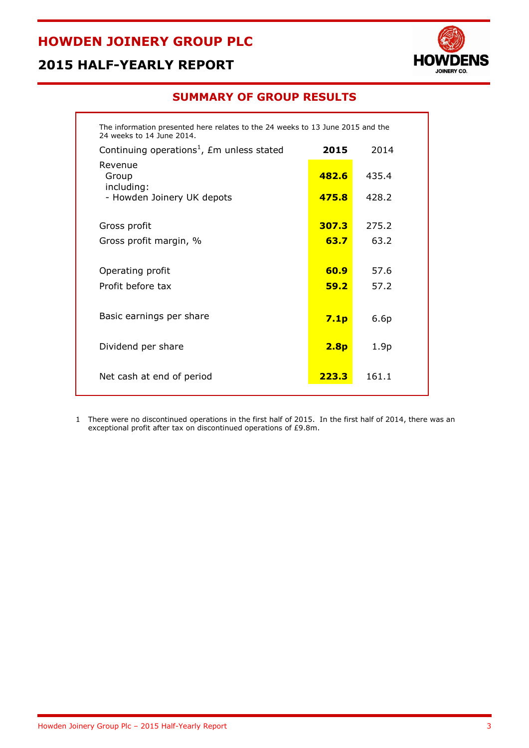# **2015 HALF-YEARLY REPORT**



### **SUMMARY OF GROUP RESULTS**

| The information presented here relates to the 24 weeks to 13 June 2015 and the<br>24 weeks to 14 June 2014. |                  |                  |  |  |  |
|-------------------------------------------------------------------------------------------------------------|------------------|------------------|--|--|--|
| Continuing operations <sup>1</sup> , $\pounds$ m unless stated                                              | 2015             | 2014             |  |  |  |
| Revenue<br>Group<br>including:                                                                              | 482.6            | 435.4            |  |  |  |
| - Howden Joinery UK depots                                                                                  | 475.8            | 428.2            |  |  |  |
|                                                                                                             | 307.3            | 275.2            |  |  |  |
| Gross profit                                                                                                |                  |                  |  |  |  |
| Gross profit margin, %                                                                                      | 63.7             | 63.2             |  |  |  |
|                                                                                                             |                  |                  |  |  |  |
| Operating profit                                                                                            | 60.9             | 57.6             |  |  |  |
| Profit before tax                                                                                           | 59.2             | 57.2             |  |  |  |
|                                                                                                             |                  |                  |  |  |  |
| Basic earnings per share                                                                                    | 7.1 <sub>p</sub> | 6.6p             |  |  |  |
|                                                                                                             |                  |                  |  |  |  |
| Dividend per share                                                                                          | 2.8 <sub>p</sub> | 1.9 <sub>p</sub> |  |  |  |
| Net cash at end of period                                                                                   | 223.3            | 161.1            |  |  |  |

1 There were no discontinued operations in the first half of 2015. In the first half of 2014, there was an exceptional profit after tax on discontinued operations of £9.8m.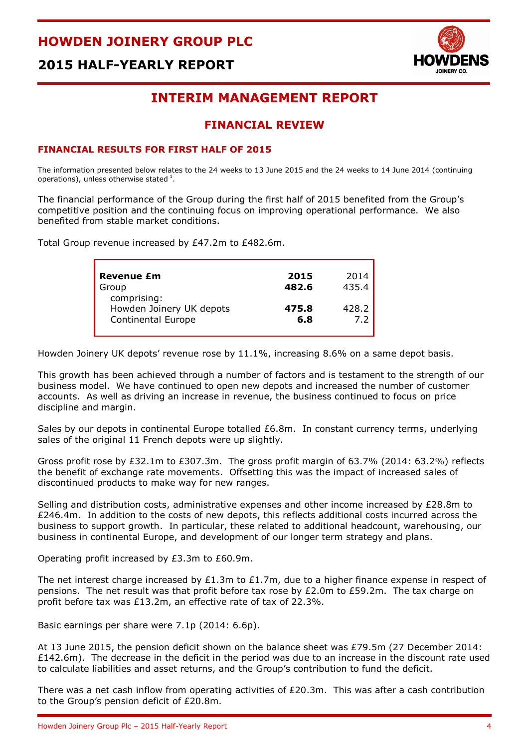



# **INTERIM MANAGEMENT REPORT**

### **FINANCIAL REVIEW**

#### **FINANCIAL RESULTS FOR FIRST HALF OF 2015**

The information presented below relates to the 24 weeks to 13 June 2015 and the 24 weeks to 14 June 2014 (continuing operations), unless otherwise stated  $^{1}$ .

The financial performance of the Group during the first half of 2015 benefited from the Group's competitive position and the continuing focus on improving operational performance. We also benefited from stable market conditions.

Total Group revenue increased by £47.2m to £482.6m.

| <b>Revenue £m</b>                                                    | 2015         | 2014  |
|----------------------------------------------------------------------|--------------|-------|
| Group                                                                | 482.6        | 435.4 |
| comprising:<br>Howden Joinery UK depots<br><b>Continental Europe</b> | 475.8<br>6.8 | 428.2 |

Howden Joinery UK depots' revenue rose by 11.1%, increasing 8.6% on a same depot basis.

This growth has been achieved through a number of factors and is testament to the strength of our business model. We have continued to open new depots and increased the number of customer accounts. As well as driving an increase in revenue, the business continued to focus on price discipline and margin.

Sales by our depots in continental Europe totalled £6.8m. In constant currency terms, underlying sales of the original 11 French depots were up slightly.

Gross profit rose by £32.1m to £307.3m. The gross profit margin of 63.7% (2014: 63.2%) reflects the benefit of exchange rate movements. Offsetting this was the impact of increased sales of discontinued products to make way for new ranges.

Selling and distribution costs, administrative expenses and other income increased by £28.8m to £246.4m. In addition to the costs of new depots, this reflects additional costs incurred across the business to support growth. In particular, these related to additional headcount, warehousing, our business in continental Europe, and development of our longer term strategy and plans.

Operating profit increased by £3.3m to £60.9m.

The net interest charge increased by £1.3m to £1.7m, due to a higher finance expense in respect of pensions. The net result was that profit before tax rose by £2.0m to £59.2m. The tax charge on profit before tax was £13.2m, an effective rate of tax of 22.3%.

Basic earnings per share were 7.1p (2014: 6.6p).

At 13 June 2015, the pension deficit shown on the balance sheet was £79.5m (27 December 2014: £142.6m). The decrease in the deficit in the period was due to an increase in the discount rate used to calculate liabilities and asset returns, and the Group's contribution to fund the deficit.

There was a net cash inflow from operating activities of £20.3m. This was after a cash contribution to the Group's pension deficit of £20.8m.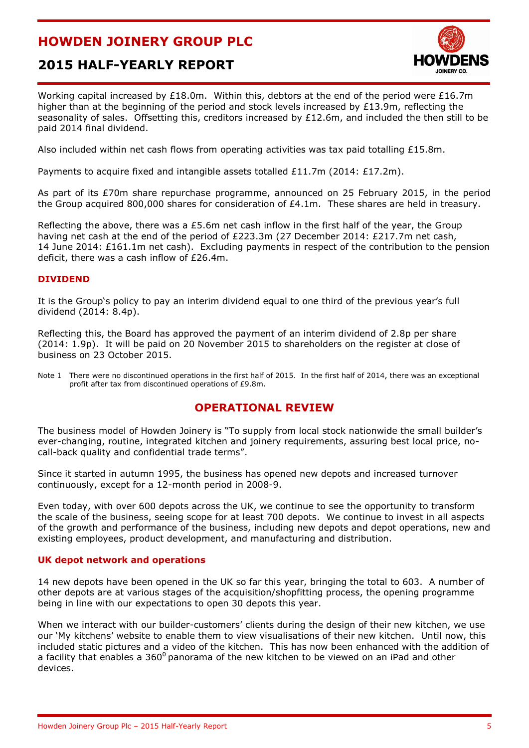# **2015 HALF-YEARLY REPORT**



Working capital increased by £18.0m. Within this, debtors at the end of the period were £16.7m higher than at the beginning of the period and stock levels increased by £13.9m, reflecting the seasonality of sales. Offsetting this, creditors increased by £12.6m, and included the then still to be paid 2014 final dividend.

Also included within net cash flows from operating activities was tax paid totalling £15.8m.

Payments to acquire fixed and intangible assets totalled £11.7m (2014: £17.2m).

As part of its £70m share repurchase programme, announced on 25 February 2015, in the period the Group acquired 800,000 shares for consideration of £4.1m. These shares are held in treasury.

Reflecting the above, there was a £5.6m net cash inflow in the first half of the year, the Group having net cash at the end of the period of £223.3m (27 December 2014: £217.7m net cash, 14 June 2014: £161.1m net cash). Excluding payments in respect of the contribution to the pension deficit, there was a cash inflow of £26.4m.

#### **DIVIDEND**

It is the Group's policy to pay an interim dividend equal to one third of the previous year's full dividend (2014: 8.4p).

Reflecting this, the Board has approved the payment of an interim dividend of 2.8p per share (2014: 1.9p). It will be paid on 20 November 2015 to shareholders on the register at close of business on 23 October 2015.

Note 1 There were no discontinued operations in the first half of 2015. In the first half of 2014, there was an exceptional profit after tax from discontinued operations of £9.8m.

### **OPERATIONAL REVIEW**

The business model of Howden Joinery is "To supply from local stock nationwide the small builder's ever-changing, routine, integrated kitchen and joinery requirements, assuring best local price, nocall-back quality and confidential trade terms".

Since it started in autumn 1995, the business has opened new depots and increased turnover continuously, except for a 12-month period in 2008-9.

Even today, with over 600 depots across the UK, we continue to see the opportunity to transform the scale of the business, seeing scope for at least 700 depots. We continue to invest in all aspects of the growth and performance of the business, including new depots and depot operations, new and existing employees, product development, and manufacturing and distribution.

#### **UK depot network and operations**

14 new depots have been opened in the UK so far this year, bringing the total to 603. A number of other depots are at various stages of the acquisition/shopfitting process, the opening programme being in line with our expectations to open 30 depots this year.

When we interact with our builder-customers' clients during the design of their new kitchen, we use our 'My kitchens' website to enable them to view visualisations of their new kitchen. Until now, this included static pictures and a video of the kitchen. This has now been enhanced with the addition of a facility that enables a  $360^{\circ}$  panorama of the new kitchen to be viewed on an iPad and other devices.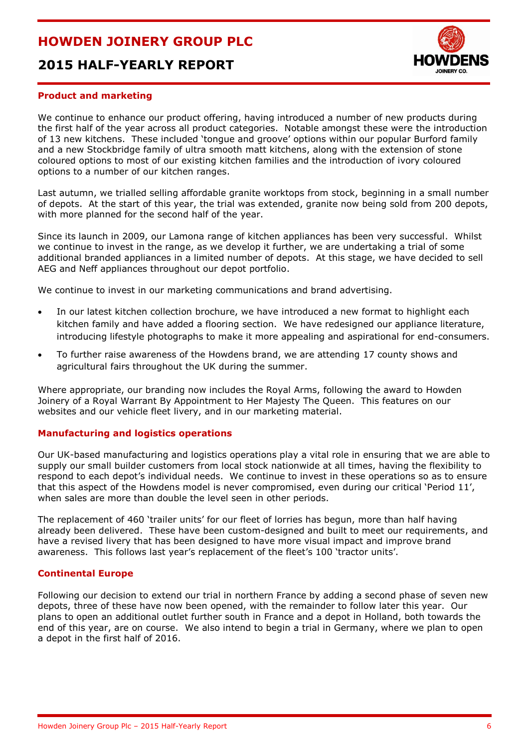# **2015 HALF-YEARLY REPORT**



#### **Product and marketing**

We continue to enhance our product offering, having introduced a number of new products during the first half of the year across all product categories. Notable amongst these were the introduction of 13 new kitchens. These included 'tongue and groove' options within our popular Burford family and a new Stockbridge family of ultra smooth matt kitchens, along with the extension of stone coloured options to most of our existing kitchen families and the introduction of ivory coloured options to a number of our kitchen ranges.

Last autumn, we trialled selling affordable granite worktops from stock, beginning in a small number of depots. At the start of this year, the trial was extended, granite now being sold from 200 depots, with more planned for the second half of the year.

Since its launch in 2009, our Lamona range of kitchen appliances has been very successful. Whilst we continue to invest in the range, as we develop it further, we are undertaking a trial of some additional branded appliances in a limited number of depots. At this stage, we have decided to sell AEG and Neff appliances throughout our depot portfolio.

We continue to invest in our marketing communications and brand advertising.

- In our latest kitchen collection brochure, we have introduced a new format to highlight each kitchen family and have added a flooring section. We have redesigned our appliance literature, introducing lifestyle photographs to make it more appealing and aspirational for end-consumers.
- To further raise awareness of the Howdens brand, we are attending 17 county shows and agricultural fairs throughout the UK during the summer.

Where appropriate, our branding now includes the Royal Arms, following the award to Howden Joinery of a Royal Warrant By Appointment to Her Majesty The Queen. This features on our websites and our vehicle fleet livery, and in our marketing material.

#### **Manufacturing and logistics operations**

Our UK-based manufacturing and logistics operations play a vital role in ensuring that we are able to supply our small builder customers from local stock nationwide at all times, having the flexibility to respond to each depot's individual needs. We continue to invest in these operations so as to ensure that this aspect of the Howdens model is never compromised, even during our critical 'Period 11', when sales are more than double the level seen in other periods.

The replacement of 460 'trailer units' for our fleet of lorries has begun, more than half having already been delivered. These have been custom-designed and built to meet our requirements, and have a revised livery that has been designed to have more visual impact and improve brand awareness. This follows last year's replacement of the fleet's 100 'tractor units'.

#### **Continental Europe**

Following our decision to extend our trial in northern France by adding a second phase of seven new depots, three of these have now been opened, with the remainder to follow later this year. Our plans to open an additional outlet further south in France and a depot in Holland, both towards the end of this year, are on course. We also intend to begin a trial in Germany, where we plan to open a depot in the first half of 2016.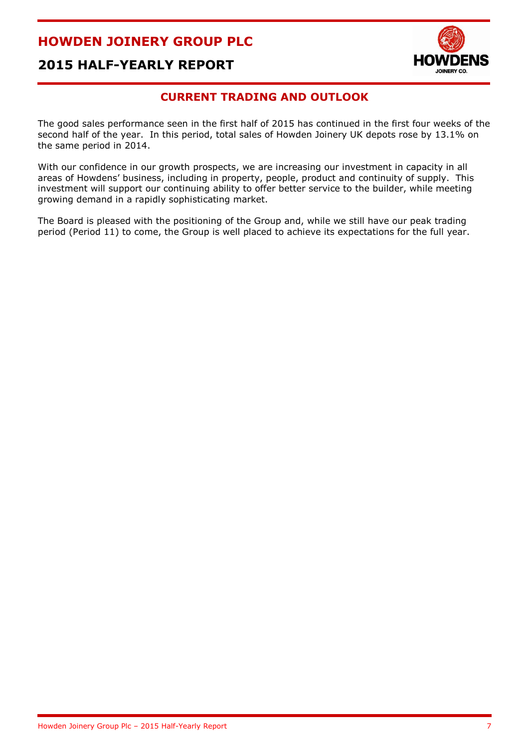

# **2015 HALF-YEARLY REPORT**

### **CURRENT TRADING AND OUTLOOK**

The good sales performance seen in the first half of 2015 has continued in the first four weeks of the second half of the year. In this period, total sales of Howden Joinery UK depots rose by 13.1% on the same period in 2014.

With our confidence in our growth prospects, we are increasing our investment in capacity in all areas of Howdens' business, including in property, people, product and continuity of supply. This investment will support our continuing ability to offer better service to the builder, while meeting growing demand in a rapidly sophisticating market.

The Board is pleased with the positioning of the Group and, while we still have our peak trading period (Period 11) to come, the Group is well placed to achieve its expectations for the full year.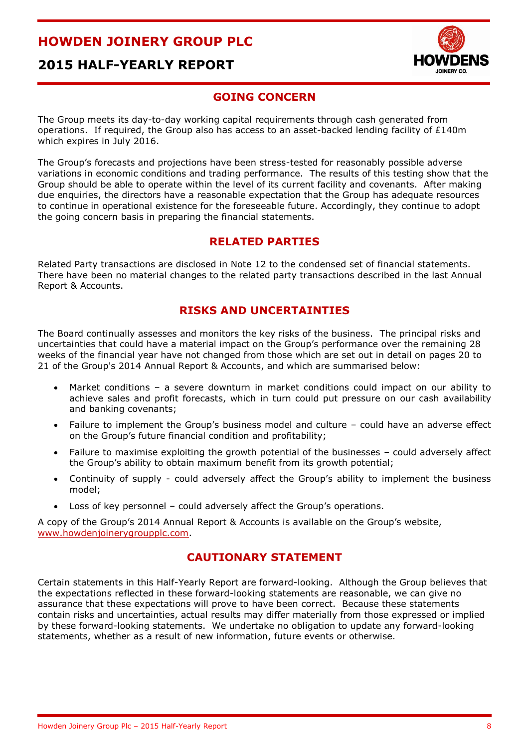# **2015 HALF-YEARLY REPORT**



### **GOING CONCERN**

The Group meets its day-to-day working capital requirements through cash generated from operations. If required, the Group also has access to an asset-backed lending facility of £140m which expires in July 2016.

The Group's forecasts and projections have been stress-tested for reasonably possible adverse variations in economic conditions and trading performance. The results of this testing show that the Group should be able to operate within the level of its current facility and covenants. After making due enquiries, the directors have a reasonable expectation that the Group has adequate resources to continue in operational existence for the foreseeable future. Accordingly, they continue to adopt the going concern basis in preparing the financial statements.

### **RELATED PARTIES**

Related Party transactions are disclosed in Note 12 to the condensed set of financial statements. There have been no material changes to the related party transactions described in the last Annual Report & Accounts.

### **RISKS AND UNCERTAINTIES**

The Board continually assesses and monitors the key risks of the business. The principal risks and uncertainties that could have a material impact on the Group's performance over the remaining 28 weeks of the financial year have not changed from those which are set out in detail on pages 20 to 21 of the Group's 2014 Annual Report & Accounts, and which are summarised below:

- Market conditions a severe downturn in market conditions could impact on our ability to achieve sales and profit forecasts, which in turn could put pressure on our cash availability and banking covenants;
- Failure to implement the Group's business model and culture could have an adverse effect on the Group's future financial condition and profitability;
- Failure to maximise exploiting the growth potential of the businesses could adversely affect the Group's ability to obtain maximum benefit from its growth potential;
- Continuity of supply could adversely affect the Group's ability to implement the business model;
- Loss of key personnel could adversely affect the Group's operations.

A copy of the Group's 2014 Annual Report & Accounts is available on the Group's website, [www.howdenjoinerygroupplc.com.](http://www.howdenjoinerygroupplc.com/)

### **CAUTIONARY STATEMENT**

Certain statements in this Half-Yearly Report are forward-looking. Although the Group believes that the expectations reflected in these forward-looking statements are reasonable, we can give no assurance that these expectations will prove to have been correct. Because these statements contain risks and uncertainties, actual results may differ materially from those expressed or implied by these forward-looking statements. We undertake no obligation to update any forward-looking statements, whether as a result of new information, future events or otherwise.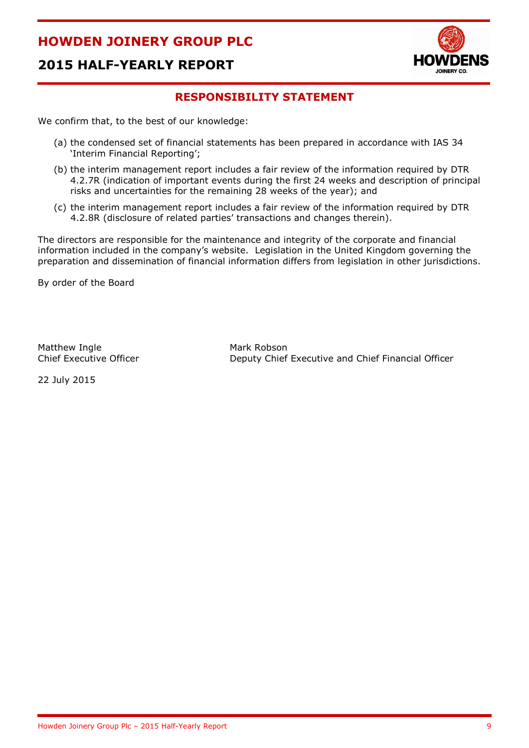

# **2015 HALF-YEARLY REPORT**

### **RESPONSIBILITY STATEMENT**

We confirm that, to the best of our knowledge:

- (a) the condensed set of financial statements has been prepared in accordance with IAS 34 'Interim Financial Reporting';
- (b) the interim management report includes a fair review of the information required by DTR 4.2.7R (indication of important events during the first 24 weeks and description of principal risks and uncertainties for the remaining 28 weeks of the year); and
- (c) the interim management report includes a fair review of the information required by DTR 4.2.8R (disclosure of related parties' transactions and changes therein).

The directors are responsible for the maintenance and integrity of the corporate and financial information included in the company's website. Legislation in the United Kingdom governing the preparation and dissemination of financial information differs from legislation in other jurisdictions.

By order of the Board

Matthew Ingle Mark Robson

Chief Executive Officer Deputy Chief Executive and Chief Financial Officer

22 July 2015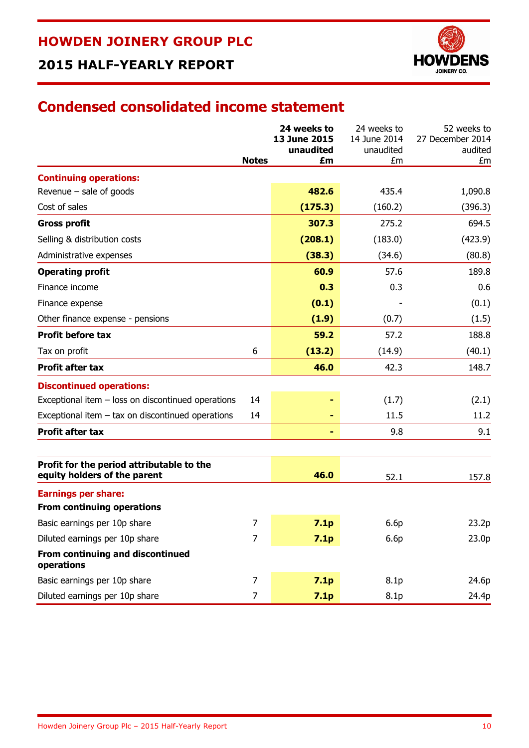

# **2015 HALF-YEARLY REPORT**

# **Condensed consolidated income statement**

|                                                                           |                | 24 weeks to<br>13 June 2015<br>unaudited | 24 weeks to<br>14 June 2014<br>unaudited | 52 weeks to<br>27 December 2014<br>audited |
|---------------------------------------------------------------------------|----------------|------------------------------------------|------------------------------------------|--------------------------------------------|
|                                                                           | <b>Notes</b>   | £m                                       | £m                                       | £m                                         |
| <b>Continuing operations:</b>                                             |                |                                          |                                          |                                            |
| Revenue - sale of goods                                                   |                | 482.6                                    | 435.4                                    | 1,090.8                                    |
| Cost of sales                                                             |                | (175.3)                                  | (160.2)                                  | (396.3)                                    |
| <b>Gross profit</b>                                                       |                | 307.3                                    | 275.2                                    | 694.5                                      |
| Selling & distribution costs                                              |                | (208.1)                                  | (183.0)                                  | (423.9)                                    |
| Administrative expenses                                                   |                | (38.3)                                   | (34.6)                                   | (80.8)                                     |
| <b>Operating profit</b>                                                   |                | 60.9                                     | 57.6                                     | 189.8                                      |
| Finance income                                                            |                | 0.3                                      | 0.3                                      | 0.6                                        |
| Finance expense                                                           |                | (0.1)                                    |                                          | (0.1)                                      |
| Other finance expense - pensions                                          |                | (1.9)                                    | (0.7)                                    | (1.5)                                      |
| <b>Profit before tax</b>                                                  |                | 59.2                                     | 57.2                                     | 188.8                                      |
| Tax on profit                                                             | 6              | (13.2)                                   | (14.9)                                   | (40.1)                                     |
| <b>Profit after tax</b>                                                   |                | 46.0                                     | 42.3                                     | 148.7                                      |
| <b>Discontinued operations:</b>                                           |                |                                          |                                          |                                            |
| Exceptional item - loss on discontinued operations                        | 14             |                                          | (1.7)                                    | (2.1)                                      |
| Exceptional item - tax on discontinued operations                         | 14             |                                          | 11.5                                     | 11.2                                       |
| <b>Profit after tax</b>                                                   |                | ٠                                        | 9.8                                      | 9.1                                        |
|                                                                           |                |                                          |                                          |                                            |
| Profit for the period attributable to the<br>equity holders of the parent |                | 46.0                                     | 52.1                                     | 157.8                                      |
| <b>Earnings per share:</b>                                                |                |                                          |                                          |                                            |
| <b>From continuing operations</b>                                         |                |                                          |                                          |                                            |
| Basic earnings per 10p share                                              | 7              | 7.1p                                     | 6.6p                                     | 23.2p                                      |
| Diluted earnings per 10p share                                            | $\overline{7}$ | 7.1p                                     | 6.6p                                     | 23.0 <sub>p</sub>                          |
| From continuing and discontinued<br>operations                            |                |                                          |                                          |                                            |
| Basic earnings per 10p share                                              | $\overline{7}$ | 7.1p                                     | 8.1 <sub>p</sub>                         | 24.6p                                      |
| Diluted earnings per 10p share                                            | $\overline{7}$ | 7.1p                                     | 8.1 <sub>p</sub>                         | 24.4p                                      |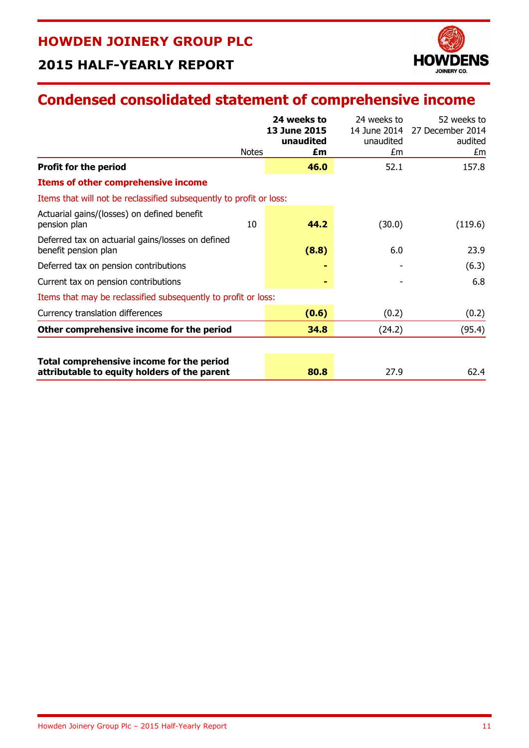

# **2015 HALF-YEARLY REPORT**

# **Condensed consolidated statement of comprehensive income**

|                                                                           |              | 24 weeks to<br>13 June 2015<br>unaudited | 24 weeks to<br>14 June 2014<br>unaudited | 52 weeks to<br>27 December 2014<br>audited |
|---------------------------------------------------------------------------|--------------|------------------------------------------|------------------------------------------|--------------------------------------------|
|                                                                           | <b>Notes</b> | £m                                       | £m                                       | £m                                         |
| <b>Profit for the period</b>                                              |              | 46.0                                     | 52.1                                     | 157.8                                      |
| <b>Items of other comprehensive income</b>                                |              |                                          |                                          |                                            |
| Items that will not be reclassified subsequently to profit or loss:       |              |                                          |                                          |                                            |
| Actuarial gains/(losses) on defined benefit<br>pension plan               | 10           | 44.2                                     | (30.0)                                   | (119.6)                                    |
| Deferred tax on actuarial gains/losses on defined<br>benefit pension plan |              | (8.8)                                    | 6.0                                      | 23.9                                       |
| Deferred tax on pension contributions                                     |              |                                          |                                          | (6.3)                                      |
| Current tax on pension contributions                                      |              | ۰                                        |                                          | 6.8                                        |
| Items that may be reclassified subsequently to profit or loss:            |              |                                          |                                          |                                            |
| Currency translation differences                                          |              | (0.6)                                    | (0.2)                                    | (0.2)                                      |
| Other comprehensive income for the period                                 |              | 34.8                                     | (24.2)                                   | (95.4)                                     |
| Total comprehensive income for the period                                 |              |                                          |                                          |                                            |
| attributable to equity holders of the parent                              |              | 80.8                                     | 27.9                                     | 62.4                                       |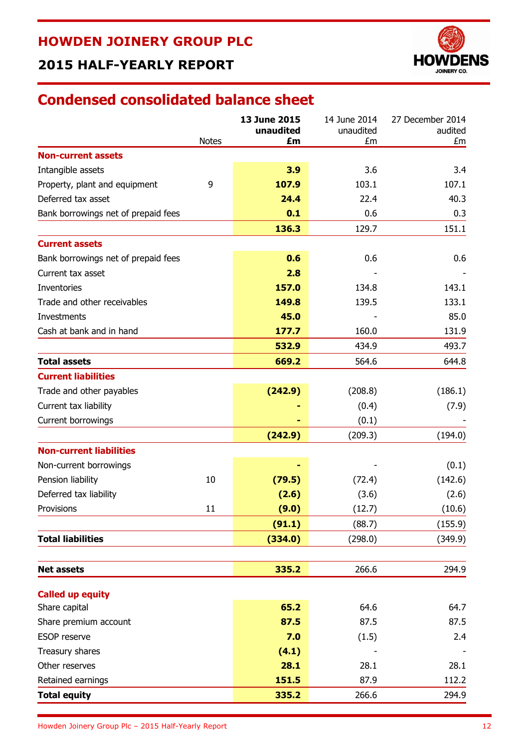# **2015 HALF-YEARLY REPORT**



# **Condensed consolidated balance sheet**

|                                     |              | 13 June 2015<br>unaudited | 14 June 2014<br>unaudited | 27 December 2014<br>audited |
|-------------------------------------|--------------|---------------------------|---------------------------|-----------------------------|
| <b>Non-current assets</b>           | <b>Notes</b> | £m                        | £m                        | £m                          |
| Intangible assets                   |              | 3.9                       | 3.6                       | 3.4                         |
| Property, plant and equipment       | 9            | 107.9                     | 103.1                     | 107.1                       |
| Deferred tax asset                  |              | 24.4                      | 22.4                      | 40.3                        |
| Bank borrowings net of prepaid fees |              | 0.1                       | 0.6                       | 0.3                         |
|                                     |              | 136.3                     | 129.7                     | 151.1                       |
| <b>Current assets</b>               |              |                           |                           |                             |
| Bank borrowings net of prepaid fees |              | 0.6                       | 0.6                       | 0.6                         |
| Current tax asset                   |              | 2.8                       |                           |                             |
| <b>Inventories</b>                  |              | 157.0                     | 134.8                     | 143.1                       |
| Trade and other receivables         |              | 149.8                     | 139.5                     | 133.1                       |
| Investments                         |              | 45.0                      |                           | 85.0                        |
| Cash at bank and in hand            |              | 177.7                     | 160.0                     | 131.9                       |
|                                     |              | 532.9                     | 434.9                     | 493.7                       |
| <b>Total assets</b>                 |              | 669.2                     | 564.6                     | 644.8                       |
| <b>Current liabilities</b>          |              |                           |                           |                             |
| Trade and other payables            |              | (242.9)                   | (208.8)                   | (186.1)                     |
| Current tax liability               |              |                           | (0.4)                     | (7.9)                       |
| Current borrowings                  |              |                           | (0.1)                     |                             |
|                                     |              | (242.9)                   | (209.3)                   | (194.0)                     |
| <b>Non-current liabilities</b>      |              |                           |                           |                             |
| Non-current borrowings              |              |                           |                           | (0.1)                       |
| Pension liability                   | 10           | (79.5)                    | (72.4)                    | (142.6)                     |
| Deferred tax liability              |              | (2.6)                     | (3.6)                     | (2.6)                       |
| Provisions                          | 11           | (9.0)                     | (12.7)                    | (10.6)                      |
|                                     |              | (91.1)                    | (88.7)                    | (155.9)                     |
| <b>Total liabilities</b>            |              | (334.0)                   | (298.0)                   | (349.9)                     |
|                                     |              |                           |                           |                             |
| <b>Net assets</b>                   |              | 335.2                     | 266.6                     | 294.9                       |
| <b>Called up equity</b>             |              |                           |                           |                             |
| Share capital                       |              | 65.2                      | 64.6                      | 64.7                        |
| Share premium account               |              | 87.5                      | 87.5                      | 87.5                        |
| <b>ESOP</b> reserve                 |              | 7.0                       | (1.5)                     | 2.4                         |
| Treasury shares                     |              | (4.1)                     |                           |                             |
| Other reserves                      |              | 28.1                      | 28.1                      | 28.1                        |
| Retained earnings                   |              | 151.5                     | 87.9                      | 112.2                       |
| <b>Total equity</b>                 |              | 335.2                     | 266.6                     | 294.9                       |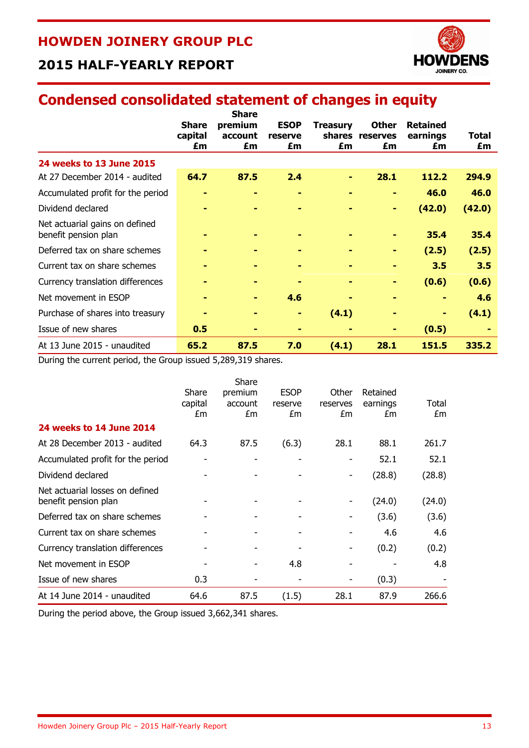# **2015 HALF-YEARLY REPORT**

# **Condensed consolidated statement of changes in equity**

|                                                        | <b>Share</b><br>capital<br>£m | <b>Share</b><br>premium<br>account<br>£m | <b>ESOP</b><br>reserve<br>£m | <b>Treasury</b><br>£m | <b>Other</b><br>shares reserves<br>£m | <b>Retained</b><br>earnings<br>£m | Total<br>£m |
|--------------------------------------------------------|-------------------------------|------------------------------------------|------------------------------|-----------------------|---------------------------------------|-----------------------------------|-------------|
| 24 weeks to 13 June 2015                               |                               |                                          |                              |                       |                                       |                                   |             |
| At 27 December 2014 - audited                          | 64.7                          | 87.5                                     | 2.4                          |                       | 28.1                                  | 112.2                             | 294.9       |
| Accumulated profit for the period                      |                               | ۰                                        | -                            | ۰                     | ۰                                     | 46.0                              | 46.0        |
| Dividend declared                                      |                               |                                          |                              |                       | ۰                                     | (42.0)                            | (42.0)      |
| Net actuarial gains on defined<br>benefit pension plan |                               |                                          |                              |                       |                                       | 35.4                              | 35.4        |
| Deferred tax on share schemes                          |                               |                                          |                              |                       | ۰                                     | (2.5)                             | (2.5)       |
| Current tax on share schemes                           |                               | ۰                                        |                              |                       | ۰                                     | 3.5                               | 3.5         |
| Currency translation differences                       |                               |                                          |                              |                       | ۰                                     | (0.6)                             | (0.6)       |
| Net movement in ESOP                                   |                               | ٠                                        | 4.6                          |                       |                                       | ٠                                 | 4.6         |
| Purchase of shares into treasury                       |                               |                                          |                              | (4.1)                 |                                       | ۰                                 | (4.1)       |
| Issue of new shares                                    | 0.5                           |                                          |                              |                       | ٠                                     | (0.5)                             |             |
| At 13 June 2015 - unaudited                            | 65.2                          | 87.5                                     | 7.0                          | (4.1)                 | 28.1                                  | 151.5                             | 335.2       |

During the current period, the Group issued 5,289,319 shares.

|                                                         | Share<br>capital<br>£m | Share<br>premium<br>account<br>£m | <b>ESOP</b><br>reserve<br>£m | Other<br>reserves<br>£m | Retained<br>earnings<br>£m | Total<br>£m |
|---------------------------------------------------------|------------------------|-----------------------------------|------------------------------|-------------------------|----------------------------|-------------|
| 24 weeks to 14 June 2014                                |                        |                                   |                              |                         |                            |             |
| At 28 December 2013 - audited                           | 64.3                   | 87.5                              | (6.3)                        | 28.1                    | 88.1                       | 261.7       |
| Accumulated profit for the period                       |                        |                                   | -                            | -                       | 52.1                       | 52.1        |
| Dividend declared                                       |                        |                                   |                              | ۰                       | (28.8)                     | (28.8)      |
| Net actuarial losses on defined<br>benefit pension plan |                        |                                   |                              |                         | (24.0)                     | (24.0)      |
| Deferred tax on share schemes                           |                        |                                   |                              |                         | (3.6)                      | (3.6)       |
| Current tax on share schemes                            |                        |                                   |                              |                         | 4.6                        | 4.6         |
| Currency translation differences                        |                        |                                   |                              |                         | (0.2)                      | (0.2)       |
| Net movement in ESOP                                    |                        |                                   | 4.8                          |                         |                            | 4.8         |
| Issue of new shares                                     | 0.3                    |                                   |                              |                         | (0.3)                      |             |
| At 14 June 2014 - unaudited                             | 64.6                   | 87.5                              | (1.5)                        | 28.1                    | 87.9                       | 266.6       |

During the period above, the Group issued 3,662,341 shares.

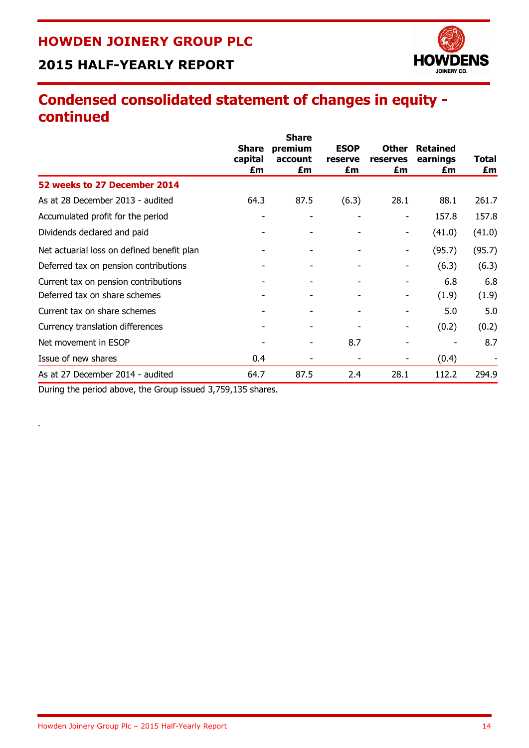# **2015 HALF-YEARLY REPORT**



# **Condensed consolidated statement of changes in equity continued**

|                                            |                         | <b>Share</b>       |                        |                          |                             |        |
|--------------------------------------------|-------------------------|--------------------|------------------------|--------------------------|-----------------------------|--------|
|                                            | <b>Share</b><br>capital | premium<br>account | <b>ESOP</b><br>reserve | <b>Other</b><br>reserves | <b>Retained</b><br>earnings | Total  |
|                                            | £m                      | £m                 | £m                     | £m                       | £m                          | £m     |
| 52 weeks to 27 December 2014               |                         |                    |                        |                          |                             |        |
| As at 28 December 2013 - audited           | 64.3                    | 87.5               | (6.3)                  | 28.1                     | 88.1                        | 261.7  |
| Accumulated profit for the period          | ۰                       | ۰                  |                        |                          | 157.8                       | 157.8  |
| Dividends declared and paid                |                         |                    |                        | ۰                        | (41.0)                      | (41.0) |
| Net actuarial loss on defined benefit plan |                         | ۰                  |                        | ۰                        | (95.7)                      | (95.7) |
| Deferred tax on pension contributions      |                         |                    |                        |                          | (6.3)                       | (6.3)  |
| Current tax on pension contributions       |                         | ۰                  |                        |                          | 6.8                         | 6.8    |
| Deferred tax on share schemes              |                         | ۰                  | ۰                      | ۰                        | (1.9)                       | (1.9)  |
| Current tax on share schemes               |                         |                    |                        |                          | 5.0                         | 5.0    |
| Currency translation differences           |                         |                    |                        |                          | (0.2)                       | (0.2)  |
| Net movement in ESOP                       |                         | ۰                  | 8.7                    |                          |                             | 8.7    |
| Issue of new shares                        | 0.4                     |                    |                        |                          | (0.4)                       |        |
| As at 27 December 2014 - audited           | 64.7                    | 87.5               | 2.4                    | 28.1                     | 112.2                       | 294.9  |

During the period above, the Group issued 3,759,135 shares.

.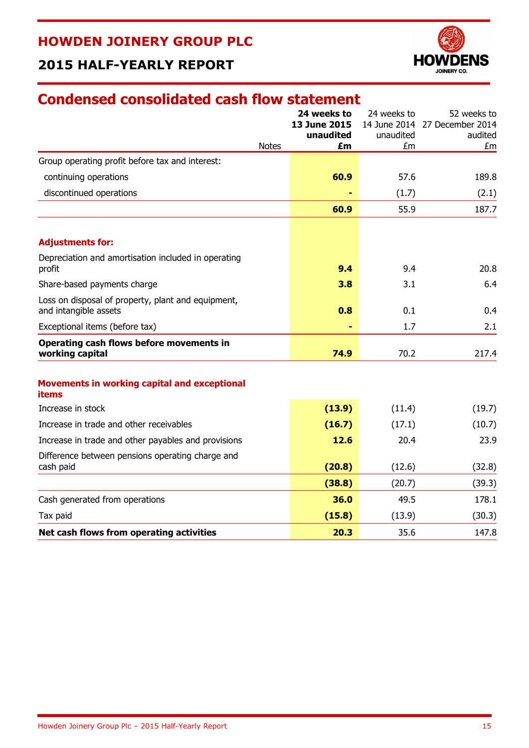# **2015 HALF-YEARLY REPORT**



# **Condensed consolidated cash flow statement**

|                                                                             | <b>Notes</b> | 24 weeks to<br>13 June 2015<br>unaudited<br>£m | 24 weeks to<br>unaudited<br>£m | 52 weeks to<br>14 June 2014 27 December 2014<br>audited<br>£m |
|-----------------------------------------------------------------------------|--------------|------------------------------------------------|--------------------------------|---------------------------------------------------------------|
| Group operating profit before tax and interest:                             |              |                                                |                                |                                                               |
| continuing operations                                                       |              | 60.9                                           | 57.6                           | 189.8                                                         |
| discontinued operations                                                     |              |                                                | (1.7)                          | (2.1)                                                         |
|                                                                             |              | 60.9                                           | 55.9                           | 187.7                                                         |
| <b>Adjustments for:</b>                                                     |              |                                                |                                |                                                               |
| Depreciation and amortisation included in operating<br>profit               |              | 9.4                                            | 9.4                            | 20.8                                                          |
| Share-based payments charge                                                 |              | 3.8                                            | 3.1                            | 6.4                                                           |
| Loss on disposal of property, plant and equipment,<br>and intangible assets |              | 0.8                                            | 0.1                            | 0.4                                                           |
| Exceptional items (before tax)                                              |              |                                                | 1.7                            | 2.1                                                           |
| Operating cash flows before movements in<br>working capital                 |              | 74.9                                           | 70.2                           | 217.4                                                         |
| <b>Movements in working capital and exceptional</b><br>items                |              |                                                |                                |                                                               |
| Increase in stock                                                           |              | (13.9)                                         | (11.4)                         | (19.7)                                                        |
| Increase in trade and other receivables                                     |              | (16.7)                                         | (17.1)                         | (10.7)                                                        |
| Increase in trade and other payables and provisions                         |              | 12.6                                           | 20.4                           | 23.9                                                          |
| Difference between pensions operating charge and<br>cash paid               |              | (20.8)                                         | (12.6)                         | (32.8)                                                        |
|                                                                             |              | (38.8)                                         | (20.7)                         | (39.3)                                                        |
| Cash generated from operations                                              |              | 36.0                                           | 49.5                           | 178.1                                                         |
| Tax paid                                                                    |              | (15.8)                                         | (13.9)                         | (30.3)                                                        |
| Net cash flows from operating activities                                    |              | 20.3                                           | 35.6                           | 147.8                                                         |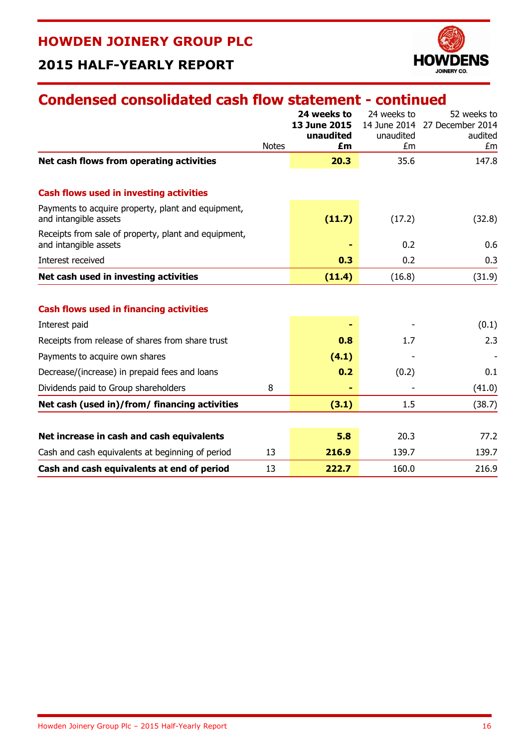# **2015 HALF-YEARLY REPORT**

# **Condensed consolidated cash flow statement - continued**

|                                                                               |              | 24 weeks to<br><b>13 June 2015</b><br>unaudited | 24 weeks to<br>unaudited | 52 weeks to<br>14 June 2014 27 December 2014<br>audited |
|-------------------------------------------------------------------------------|--------------|-------------------------------------------------|--------------------------|---------------------------------------------------------|
|                                                                               | <b>Notes</b> | £m                                              | £m                       | £m                                                      |
| Net cash flows from operating activities                                      |              | 20.3                                            | 35.6                     | 147.8                                                   |
| <b>Cash flows used in investing activities</b>                                |              |                                                 |                          |                                                         |
| Payments to acquire property, plant and equipment,<br>and intangible assets   |              | (11.7)                                          | (17.2)                   | (32.8)                                                  |
| Receipts from sale of property, plant and equipment,<br>and intangible assets |              |                                                 | 0.2                      | 0.6                                                     |
| Interest received                                                             |              | 0.3                                             | 0.2                      | 0.3                                                     |
| Net cash used in investing activities                                         |              | (11.4)                                          | (16.8)                   | (31.9)                                                  |
| <b>Cash flows used in financing activities</b>                                |              |                                                 |                          |                                                         |
| Interest paid                                                                 |              |                                                 |                          | (0.1)                                                   |
| Receipts from release of shares from share trust                              |              | 0.8                                             | 1.7                      | 2.3                                                     |
| Payments to acquire own shares                                                |              | (4.1)                                           |                          |                                                         |
| Decrease/(increase) in prepaid fees and loans                                 |              | 0.2                                             | (0.2)                    | 0.1                                                     |
| Dividends paid to Group shareholders                                          | 8            |                                                 |                          | (41.0)                                                  |
| Net cash (used in)/from/ financing activities                                 |              | (3.1)                                           | 1.5                      | (38.7)                                                  |
| Net increase in cash and cash equivalents                                     |              | 5.8                                             | 20.3                     | 77.2                                                    |
| Cash and cash equivalents at beginning of period                              | 13           | 216.9                                           | 139.7                    | 139.7                                                   |
| Cash and cash equivalents at end of period                                    | 13           | 222.7                                           | 160.0                    | 216.9                                                   |

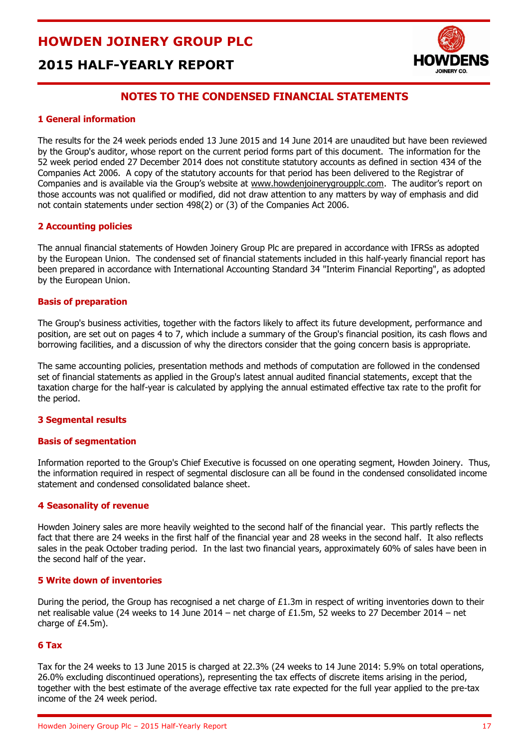# **2015 HALF-YEARLY REPORT**



#### **NOTES TO THE CONDENSED FINANCIAL STATEMENTS**

#### **1 General information**

The results for the 24 week periods ended 13 June 2015 and 14 June 2014 are unaudited but have been reviewed by the Group's auditor, whose report on the current period forms part of this document. The information for the 52 week period ended 27 December 2014 does not constitute statutory accounts as defined in section 434 of the Companies Act 2006. A copy of the statutory accounts for that period has been delivered to the Registrar of Companies and is available via the Group's website at www.howdenjoinerygroupplc.com. The auditor's report on those accounts was not qualified or modified, did not draw attention to any matters by way of emphasis and did not contain statements under section 498(2) or (3) of the Companies Act 2006.

#### **2 Accounting policies**

The annual financial statements of Howden Joinery Group Plc are prepared in accordance with IFRSs as adopted by the European Union. The condensed set of financial statements included in this half-yearly financial report has been prepared in accordance with International Accounting Standard 34 "Interim Financial Reporting", as adopted by the European Union.

#### **Basis of preparation**

The Group's business activities, together with the factors likely to affect its future development, performance and position, are set out on pages 4 to 7, which include a summary of the Group's financial position, its cash flows and borrowing facilities, and a discussion of why the directors consider that the going concern basis is appropriate.

The same accounting policies, presentation methods and methods of computation are followed in the condensed set of financial statements as applied in the Group's latest annual audited financial statements, except that the taxation charge for the half-year is calculated by applying the annual estimated effective tax rate to the profit for the period.

#### **3 Segmental results**

#### **Basis of segmentation**

Information reported to the Group's Chief Executive is focussed on one operating segment, Howden Joinery. Thus, the information required in respect of segmental disclosure can all be found in the condensed consolidated income statement and condensed consolidated balance sheet.

#### **4 Seasonality of revenue**

Howden Joinery sales are more heavily weighted to the second half of the financial year. This partly reflects the fact that there are 24 weeks in the first half of the financial year and 28 weeks in the second half. It also reflects sales in the peak October trading period. In the last two financial years, approximately 60% of sales have been in the second half of the year.

#### **5 Write down of inventories**

During the period, the Group has recognised a net charge of  $£1.3m$  in respect of writing inventories down to their net realisable value (24 weeks to 14 June 2014 – net charge of £1.5m, 52 weeks to 27 December 2014 – net charge of £4.5m).

#### **6 Tax**

Tax for the 24 weeks to 13 June 2015 is charged at 22.3% (24 weeks to 14 June 2014: 5.9% on total operations, 26.0% excluding discontinued operations), representing the tax effects of discrete items arising in the period, together with the best estimate of the average effective tax rate expected for the full year applied to the pre-tax income of the 24 week period.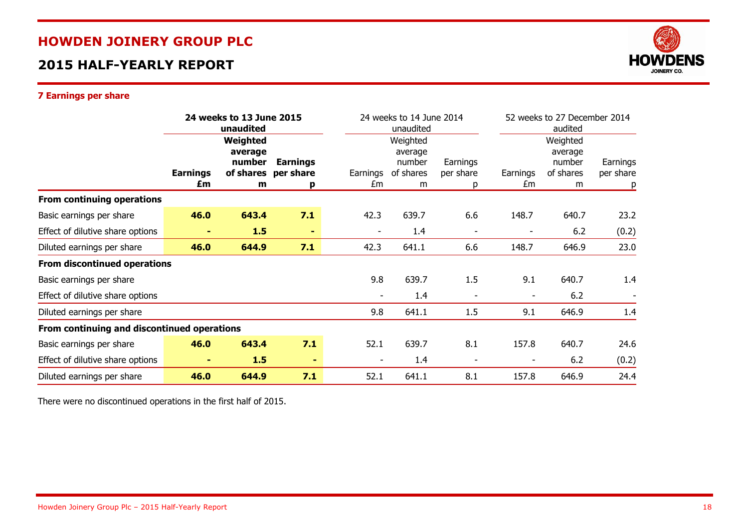# **2015 HALF-YEARLY REPORT**



#### **7 Earnings per share**

|                                             | 24 weeks to 13 June 2015<br>unaudited |                                                 |                                   |                          | 24 weeks to 14 June 2014<br>unaudited           |                            |                | 52 weeks to 27 December 2014<br>audited         |                       |  |
|---------------------------------------------|---------------------------------------|-------------------------------------------------|-----------------------------------|--------------------------|-------------------------------------------------|----------------------------|----------------|-------------------------------------------------|-----------------------|--|
|                                             | <b>Earnings</b><br>£m                 | Weighted<br>average<br>number<br>of shares<br>m | <b>Earnings</b><br>per share<br>p | Earnings<br>£m           | Weighted<br>average<br>number<br>of shares<br>m | Earnings<br>per share<br>р | Earnings<br>£m | Weighted<br>average<br>number<br>of shares<br>m | Earnings<br>per share |  |
| From continuing operations                  |                                       |                                                 |                                   |                          |                                                 |                            |                |                                                 | p                     |  |
| Basic earnings per share                    | 46.0                                  | 643.4                                           | 7.1                               | 42.3                     | 639.7                                           | 6.6                        | 148.7          | 640.7                                           | 23.2                  |  |
| Effect of dilutive share options            |                                       | 1.5                                             | $\blacksquare$                    | $\overline{\phantom{a}}$ | 1.4                                             | $\overline{\phantom{a}}$   |                | 6.2                                             | (0.2)                 |  |
| Diluted earnings per share                  | 46.0                                  | 644.9                                           | 7.1                               | 42.3                     | 641.1                                           | 6.6                        | 148.7          | 646.9                                           | 23.0                  |  |
| <b>From discontinued operations</b>         |                                       |                                                 |                                   |                          |                                                 |                            |                |                                                 |                       |  |
| Basic earnings per share                    |                                       |                                                 |                                   | 9.8                      | 639.7                                           | 1.5                        | 9.1            | 640.7                                           | 1.4                   |  |
| Effect of dilutive share options            |                                       |                                                 |                                   |                          | 1.4                                             | $\overline{\phantom{a}}$   |                | 6.2                                             |                       |  |
| Diluted earnings per share                  |                                       |                                                 |                                   | 9.8                      | 641.1                                           | 1.5                        | 9.1            | 646.9                                           | 1.4                   |  |
| From continuing and discontinued operations |                                       |                                                 |                                   |                          |                                                 |                            |                |                                                 |                       |  |
| Basic earnings per share                    | 46.0                                  | 643.4                                           | 7.1                               | 52.1                     | 639.7                                           | 8.1                        | 157.8          | 640.7                                           | 24.6                  |  |
| Effect of dilutive share options            |                                       | 1.5                                             | ٠                                 |                          | 1.4                                             | $\overline{\phantom{a}}$   |                | 6.2                                             | (0.2)                 |  |
| Diluted earnings per share                  | 46.0                                  | 644.9                                           | 7.1                               | 52.1                     | 641.1                                           | 8.1                        | 157.8          | 646.9                                           | 24.4                  |  |

There were no discontinued operations in the first half of 2015.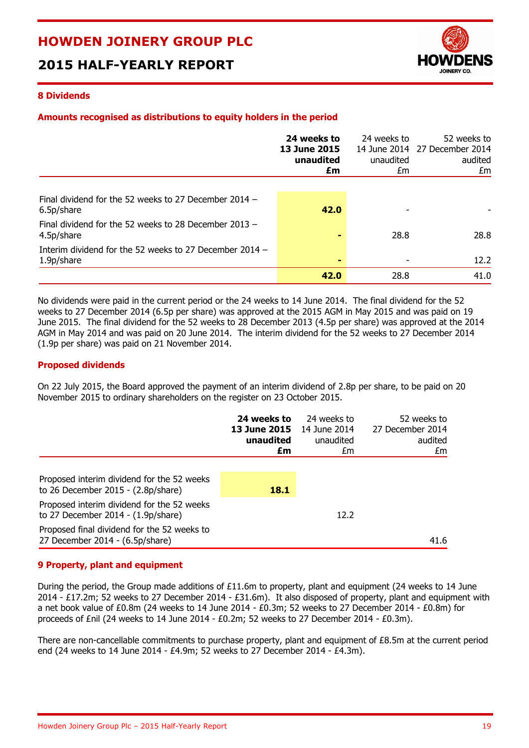# **2015 HALF-YEARLY REPORT**



#### **8 Dividends**

#### **Amounts recognised as distributions to equity holders in the period**

|                                                                       | 24 weeks to<br><b>13 June 2015</b><br>unaudited<br>£m | 24 weeks to<br>unaudited<br>£m | 52 weeks to<br>14 June 2014 27 December 2014<br>audited<br>£m |
|-----------------------------------------------------------------------|-------------------------------------------------------|--------------------------------|---------------------------------------------------------------|
|                                                                       |                                                       |                                |                                                               |
| Final dividend for the 52 weeks to 27 December 2014 -<br>6.5p/share   | 42.0                                                  |                                |                                                               |
| Final dividend for the 52 weeks to 28 December 2013 -<br>4.5p/share   |                                                       | 28.8                           | 28.8                                                          |
| Interim dividend for the 52 weeks to 27 December 2014 -<br>1.9p/share | ۰                                                     |                                | 12.2                                                          |
|                                                                       | 42.0                                                  | 28.8                           | 41.0                                                          |

No dividends were paid in the current period or the 24 weeks to 14 June 2014. The final dividend for the 52 weeks to 27 December 2014 (6.5p per share) was approved at the 2015 AGM in May 2015 and was paid on 19 June 2015. The final dividend for the 52 weeks to 28 December 2013 (4.5p per share) was approved at the 2014 AGM in May 2014 and was paid on 20 June 2014. The interim dividend for the 52 weeks to 27 December 2014 (1.9p per share) was paid on 21 November 2014.

#### **Proposed dividends**

On 22 July 2015, the Board approved the payment of an interim dividend of 2.8p per share, to be paid on 20 November 2015 to ordinary shareholders on the register on 23 October 2015.

|                                                                                           | 24 weeks to<br><b>13 June 2015</b><br>unaudited<br>£m | 24 weeks to<br>14 June 2014<br>unaudited<br>£m | 52 weeks to<br>27 December 2014<br>audited<br>£m |
|-------------------------------------------------------------------------------------------|-------------------------------------------------------|------------------------------------------------|--------------------------------------------------|
| Proposed interim dividend for the 52 weeks<br>to 26 December 2015 - $(2.8p/\text{share})$ | 18.1                                                  |                                                |                                                  |
| Proposed interim dividend for the 52 weeks<br>to 27 December 2014 - $(1.9p/\text{share})$ |                                                       | 12.2                                           |                                                  |
| Proposed final dividend for the 52 weeks to<br>27 December 2014 - (6.5p/share)            |                                                       |                                                | 41.6                                             |

#### **9 Property, plant and equipment**

During the period, the Group made additions of £11.6m to property, plant and equipment (24 weeks to 14 June 2014 - £17.2m; 52 weeks to 27 December 2014 - £31.6m). It also disposed of property, plant and equipment with a net book value of £0.8m (24 weeks to 14 June 2014 - £0.3m; 52 weeks to 27 December 2014 - £0.8m) for proceeds of £nil (24 weeks to 14 June 2014 - £0.2m; 52 weeks to 27 December 2014 - £0.3m).

There are non-cancellable commitments to purchase property, plant and equipment of £8.5m at the current period end (24 weeks to 14 June 2014 - £4.9m; 52 weeks to 27 December 2014 - £4.3m).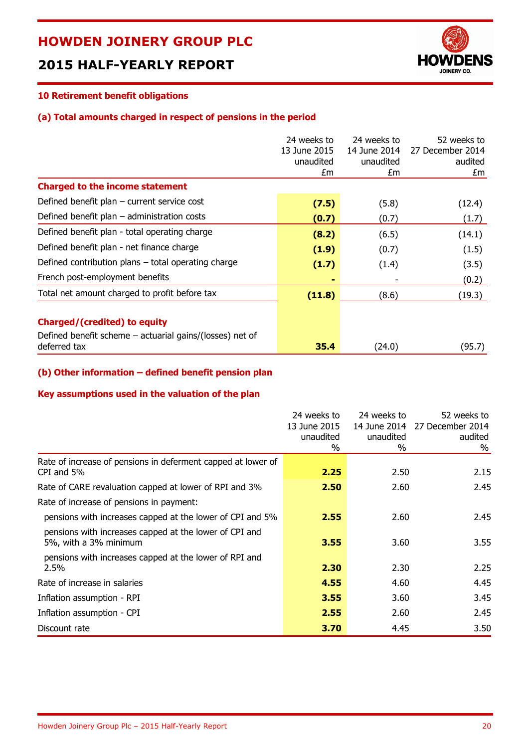# **2015 HALF-YEARLY REPORT**



### **10 Retirement benefit obligations**

#### **(a) Total amounts charged in respect of pensions in the period**

|                                                                                                                   | 24 weeks to<br>13 June 2015<br>unaudited<br>£m | 24 weeks to<br>14 June 2014<br>unaudited<br>£m | 52 weeks to<br>27 December 2014<br>audited<br>£m |
|-------------------------------------------------------------------------------------------------------------------|------------------------------------------------|------------------------------------------------|--------------------------------------------------|
| <b>Charged to the income statement</b>                                                                            |                                                |                                                |                                                  |
| Defined benefit plan - current service cost                                                                       | (7.5)                                          | (5.8)                                          | (12.4)                                           |
| Defined benefit plan $-$ administration costs                                                                     | (0.7)                                          | (0.7)                                          | (1.7)                                            |
| Defined benefit plan - total operating charge                                                                     | (8.2)                                          | (6.5)                                          | (14.1)                                           |
| Defined benefit plan - net finance charge                                                                         | (1.9)                                          | (0.7)                                          | (1.5)                                            |
| Defined contribution plans - total operating charge                                                               | (1.7)                                          | (1.4)                                          | (3.5)                                            |
| French post-employment benefits                                                                                   |                                                |                                                | (0.2)                                            |
| Total net amount charged to profit before tax                                                                     | (11.8)                                         | (8.6)                                          | (19.3)                                           |
| <b>Charged/(credited) to equity</b><br>Defined benefit scheme $-$ actuarial gains/(losses) net of<br>deferred tax | 35.4                                           | (24.0)                                         | (95.7)                                           |

#### **(b) Other information – defined benefit pension plan**

#### **Key assumptions used in the valuation of the plan**

|                                                                                 | 24 weeks to<br>13 June 2015<br>unaudited<br>% | 24 weeks to<br>14 June 2014<br>unaudited<br>$\%$ | 52 weeks to<br>27 December 2014<br>audited<br>% |
|---------------------------------------------------------------------------------|-----------------------------------------------|--------------------------------------------------|-------------------------------------------------|
| Rate of increase of pensions in deferment capped at lower of<br>CPI and 5%      | 2.25                                          | 2.50                                             | 2.15                                            |
| Rate of CARE revaluation capped at lower of RPI and 3%                          | 2.50                                          | 2.60                                             | 2.45                                            |
| Rate of increase of pensions in payment:                                        |                                               |                                                  |                                                 |
| pensions with increases capped at the lower of CPI and 5%                       | 2.55                                          | 2.60                                             | 2.45                                            |
| pensions with increases capped at the lower of CPI and<br>5%, with a 3% minimum | 3.55                                          | 3.60                                             | 3.55                                            |
| pensions with increases capped at the lower of RPI and<br>2.5%                  | 2.30                                          | 2.30                                             | 2.25                                            |
| Rate of increase in salaries                                                    | 4.55                                          | 4.60                                             | 4.45                                            |
| Inflation assumption - RPI                                                      | 3.55                                          | 3.60                                             | 3.45                                            |
| Inflation assumption - CPI                                                      | 2.55                                          | 2.60                                             | 2.45                                            |
| Discount rate                                                                   | 3.70                                          | 4.45                                             | 3.50                                            |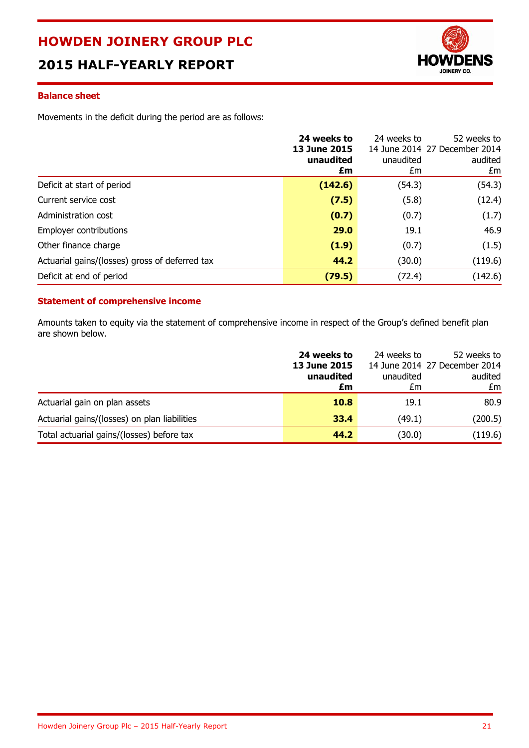# **2015 HALF-YEARLY REPORT**



#### **Balance sheet**

Movements in the deficit during the period are as follows:

|                                                | 24 weeks to<br>13 June 2015<br>unaudited<br>£m | 24 weeks to<br>unaudited<br>£m | 52 weeks to<br>14 June 2014 27 December 2014<br>audited<br>£m |
|------------------------------------------------|------------------------------------------------|--------------------------------|---------------------------------------------------------------|
| Deficit at start of period                     | (142.6)                                        | (54.3)                         | (54.3)                                                        |
| Current service cost                           | (7.5)                                          | (5.8)                          | (12.4)                                                        |
| Administration cost                            | (0.7)                                          | (0.7)                          | (1.7)                                                         |
| Employer contributions                         | 29.0                                           | 19.1                           | 46.9                                                          |
| Other finance charge                           | (1.9)                                          | (0.7)                          | (1.5)                                                         |
| Actuarial gains/(losses) gross of deferred tax | 44.2                                           | (30.0)                         | (119.6)                                                       |
| Deficit at end of period                       | (79.5)                                         | (72.4)                         | (142.6)                                                       |

#### **Statement of comprehensive income**

Amounts taken to equity via the statement of comprehensive income in respect of the Group's defined benefit plan are shown below.

|                                              | 24 weeks to<br><b>13 June 2015</b><br>unaudited<br>£m | 24 weeks to<br>unaudited<br>£m | 52 weeks to<br>14 June 2014 27 December 2014<br>audited<br>£m |
|----------------------------------------------|-------------------------------------------------------|--------------------------------|---------------------------------------------------------------|
| Actuarial gain on plan assets                | <b>10.8</b>                                           | 19.1                           | 80.9                                                          |
| Actuarial gains/(losses) on plan liabilities | 33.4                                                  | (49.1)                         | (200.5)                                                       |
| Total actuarial gains/(losses) before tax    | 44.2                                                  | (30.0)                         | (119.6)                                                       |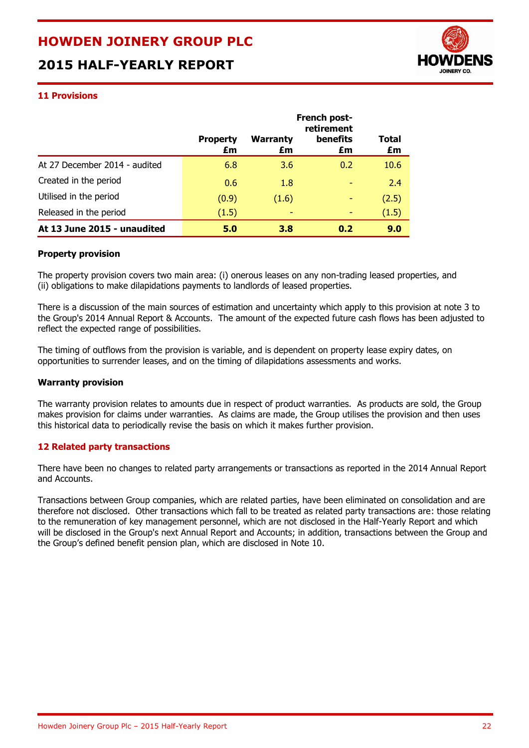# **2015 HALF-YEARLY REPORT**



#### **11 Provisions**

|                               | French post-<br>retirement |                       |                       |             |  |
|-------------------------------|----------------------------|-----------------------|-----------------------|-------------|--|
|                               | <b>Property</b><br>£m      | <b>Warranty</b><br>£m | <b>benefits</b><br>£m | Total<br>£m |  |
| At 27 December 2014 - audited | 6.8                        | 3.6                   | 0.2                   | 10.6        |  |
| Created in the period         | 0.6                        | 1.8                   |                       | 2.4         |  |
| Utilised in the period        | (0.9)                      | (1.6)                 |                       | (2.5)       |  |
| Released in the period        | (1.5)                      |                       |                       | (1.5)       |  |
| At 13 June 2015 - unaudited   | 5.0                        | 3.8                   | 0.2                   | 9.0         |  |

#### **Property provision**

The property provision covers two main area: (i) onerous leases on any non-trading leased properties, and (ii) obligations to make dilapidations payments to landlords of leased properties.

There is a discussion of the main sources of estimation and uncertainty which apply to this provision at note 3 to the Group's 2014 Annual Report & Accounts. The amount of the expected future cash flows has been adjusted to reflect the expected range of possibilities.

The timing of outflows from the provision is variable, and is dependent on property lease expiry dates, on opportunities to surrender leases, and on the timing of dilapidations assessments and works.

#### **Warranty provision**

The warranty provision relates to amounts due in respect of product warranties. As products are sold, the Group makes provision for claims under warranties. As claims are made, the Group utilises the provision and then uses this historical data to periodically revise the basis on which it makes further provision.

#### **12 Related party transactions**

There have been no changes to related party arrangements or transactions as reported in the 2014 Annual Report and Accounts.

Transactions between Group companies, which are related parties, have been eliminated on consolidation and are therefore not disclosed. Other transactions which fall to be treated as related party transactions are: those relating to the remuneration of key management personnel, which are not disclosed in the Half-Yearly Report and which will be disclosed in the Group's next Annual Report and Accounts; in addition, transactions between the Group and the Group's defined benefit pension plan, which are disclosed in Note 10.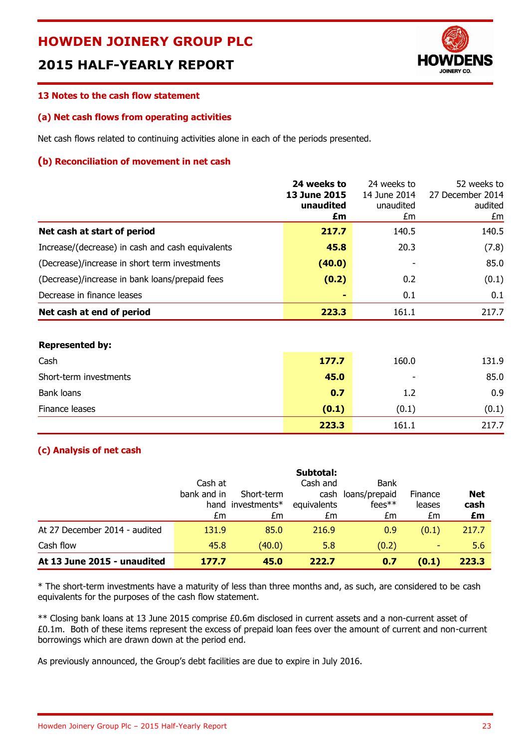# **2015 HALF-YEARLY REPORT**



#### **13 Notes to the cash flow statement**

#### **(a) Net cash flows from operating activities**

Net cash flows related to continuing activities alone in each of the periods presented.

#### **(b) Reconciliation of movement in net cash**

|                                                  | 24 weeks to<br><b>13 June 2015</b><br>unaudited<br>£m | 24 weeks to<br>14 June 2014<br>unaudited<br>£m | 52 weeks to<br>27 December 2014<br>audited<br>£m |
|--------------------------------------------------|-------------------------------------------------------|------------------------------------------------|--------------------------------------------------|
| Net cash at start of period                      | 217.7                                                 | 140.5                                          | 140.5                                            |
| Increase/(decrease) in cash and cash equivalents | 45.8                                                  | 20.3                                           | (7.8)                                            |
| (Decrease)/increase in short term investments    | (40.0)                                                |                                                | 85.0                                             |
| (Decrease)/increase in bank loans/prepaid fees   | (0.2)                                                 | 0.2                                            | (0.1)                                            |
| Decrease in finance leases                       | -                                                     | 0.1                                            | 0.1                                              |
| Net cash at end of period                        | 223.3                                                 | 161.1                                          | 217.7                                            |

#### **Represented by:**

| Cash                   | 177.7 | 160.0                    | 131.9 |
|------------------------|-------|--------------------------|-------|
| Short-term investments | 45.0  | $\overline{\phantom{a}}$ | 85.0  |
| Bank loans             | 0.7   | 1.2                      | 0.9   |
| Finance leases         | (0.1) | (0.1)                    | (0.1) |
|                        | 223.3 | 161.1                    | 217.7 |

#### **(c) Analysis of net cash**

|                               |             |                   | Subtotal:   |                    |         |            |
|-------------------------------|-------------|-------------------|-------------|--------------------|---------|------------|
|                               | Cash at     |                   | Cash and    | <b>Bank</b>        |         |            |
|                               | bank and in | Short-term        |             | cash loans/prepaid | Finance | <b>Net</b> |
|                               |             | hand investments* | equivalents | $fees**$           | leases  | cash       |
|                               | £m          | £m                | £m          | £m                 | £m      | £m         |
| At 27 December 2014 - audited | 131.9       | 85.0              | 216.9       | 0.9                | (0.1)   | 217.7      |
| Cash flow                     | 45.8        | (40.0)            | 5.8         | (0.2)              |         | 5.6        |
| At 13 June 2015 - unaudited   | 177.7       | 45.0              | 222.7       | 0.7                | (0.1)   | 223.3      |

\* The short-term investments have a maturity of less than three months and, as such, are considered to be cash equivalents for the purposes of the cash flow statement.

\*\* Closing bank loans at 13 June 2015 comprise £0.6m disclosed in current assets and a non-current asset of £0.1m. Both of these items represent the excess of prepaid loan fees over the amount of current and non-current borrowings which are drawn down at the period end.

As previously announced, the Group's debt facilities are due to expire in July 2016.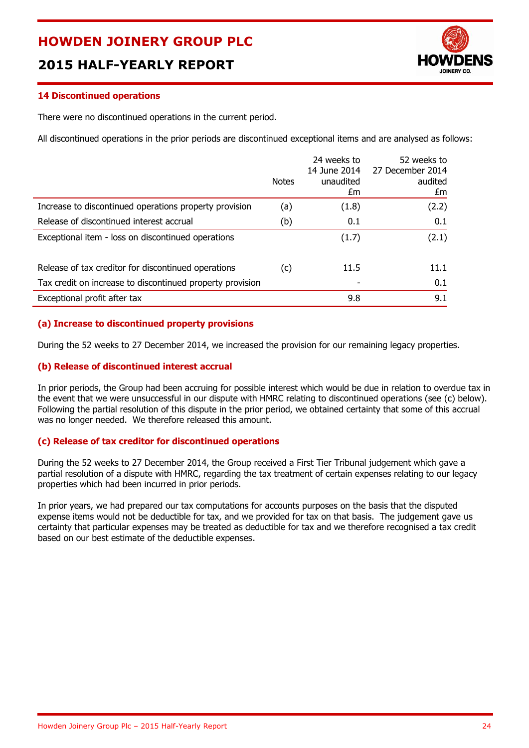# **2015 HALF-YEARLY REPORT**



#### **14 Discontinued operations**

There were no discontinued operations in the current period.

All discontinued operations in the prior periods are discontinued exceptional items and are analysed as follows:

|                                                           | <b>Notes</b> | 24 weeks to<br>14 June 2014<br>unaudited<br>£m | 52 weeks to<br>27 December 2014<br>audited<br>£m |
|-----------------------------------------------------------|--------------|------------------------------------------------|--------------------------------------------------|
| Increase to discontinued operations property provision    | (a)          | (1.8)                                          | (2.2)                                            |
| Release of discontinued interest accrual                  | (b)          | 0.1                                            | 0.1                                              |
| Exceptional item - loss on discontinued operations        |              | (1.7)                                          | (2.1)                                            |
| Release of tax creditor for discontinued operations       | (c)          | 11.5                                           | 11.1                                             |
| Tax credit on increase to discontinued property provision |              |                                                | 0.1                                              |
| Exceptional profit after tax                              |              | 9.8                                            | 9.1                                              |

#### **(a) Increase to discontinued property provisions**

During the 52 weeks to 27 December 2014, we increased the provision for our remaining legacy properties.

#### **(b) Release of discontinued interest accrual**

In prior periods, the Group had been accruing for possible interest which would be due in relation to overdue tax in the event that we were unsuccessful in our dispute with HMRC relating to discontinued operations (see (c) below). Following the partial resolution of this dispute in the prior period, we obtained certainty that some of this accrual was no longer needed. We therefore released this amount.

#### **(c) Release of tax creditor for discontinued operations**

During the 52 weeks to 27 December 2014, the Group received a First Tier Tribunal judgement which gave a partial resolution of a dispute with HMRC, regarding the tax treatment of certain expenses relating to our legacy properties which had been incurred in prior periods.

In prior years, we had prepared our tax computations for accounts purposes on the basis that the disputed expense items would not be deductible for tax, and we provided for tax on that basis. The judgement gave us certainty that particular expenses may be treated as deductible for tax and we therefore recognised a tax credit based on our best estimate of the deductible expenses.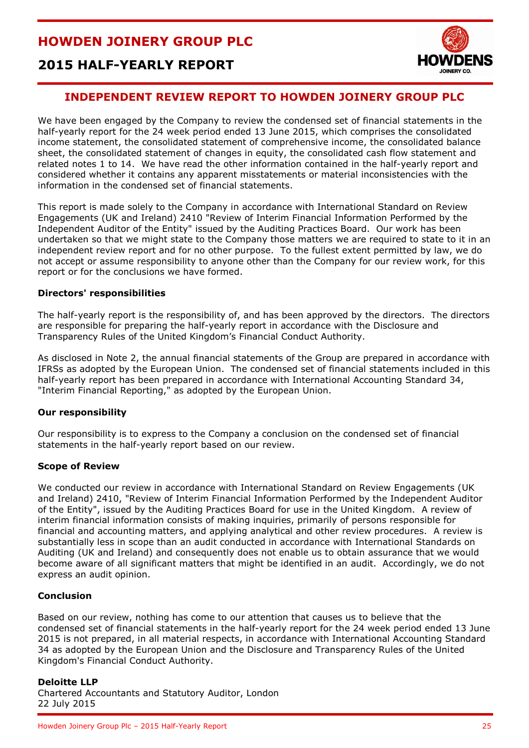

# **2015 HALF-YEARLY REPORT**

### **INDEPENDENT REVIEW REPORT TO HOWDEN JOINERY GROUP PLC**

We have been engaged by the Company to review the condensed set of financial statements in the half-yearly report for the 24 week period ended 13 June 2015, which comprises the consolidated income statement, the consolidated statement of comprehensive income, the consolidated balance sheet, the consolidated statement of changes in equity, the consolidated cash flow statement and related notes 1 to 14. We have read the other information contained in the half-yearly report and considered whether it contains any apparent misstatements or material inconsistencies with the information in the condensed set of financial statements.

This report is made solely to the Company in accordance with International Standard on Review Engagements (UK and Ireland) 2410 "Review of Interim Financial Information Performed by the Independent Auditor of the Entity" issued by the Auditing Practices Board. Our work has been undertaken so that we might state to the Company those matters we are required to state to it in an independent review report and for no other purpose. To the fullest extent permitted by law, we do not accept or assume responsibility to anyone other than the Company for our review work, for this report or for the conclusions we have formed.

#### **Directors' responsibilities**

The half-yearly report is the responsibility of, and has been approved by the directors. The directors are responsible for preparing the half-yearly report in accordance with the Disclosure and Transparency Rules of the United Kingdom's Financial Conduct Authority.

As disclosed in Note 2, the annual financial statements of the Group are prepared in accordance with IFRSs as adopted by the European Union. The condensed set of financial statements included in this half-yearly report has been prepared in accordance with International Accounting Standard 34, "Interim Financial Reporting," as adopted by the European Union.

#### **Our responsibility**

Our responsibility is to express to the Company a conclusion on the condensed set of financial statements in the half-yearly report based on our review.

#### **Scope of Review**

We conducted our review in accordance with International Standard on Review Engagements (UK and Ireland) 2410, "Review of Interim Financial Information Performed by the Independent Auditor of the Entity", issued by the Auditing Practices Board for use in the United Kingdom. A review of interim financial information consists of making inquiries, primarily of persons responsible for financial and accounting matters, and applying analytical and other review procedures. A review is substantially less in scope than an audit conducted in accordance with International Standards on Auditing (UK and Ireland) and consequently does not enable us to obtain assurance that we would become aware of all significant matters that might be identified in an audit. Accordingly, we do not express an audit opinion.

#### **Conclusion**

Based on our review, nothing has come to our attention that causes us to believe that the condensed set of financial statements in the half-yearly report for the 24 week period ended 13 June 2015 is not prepared, in all material respects, in accordance with International Accounting Standard 34 as adopted by the European Union and the Disclosure and Transparency Rules of the United Kingdom's Financial Conduct Authority.

#### **Deloitte LLP**

Chartered Accountants and Statutory Auditor, London 22 July 2015